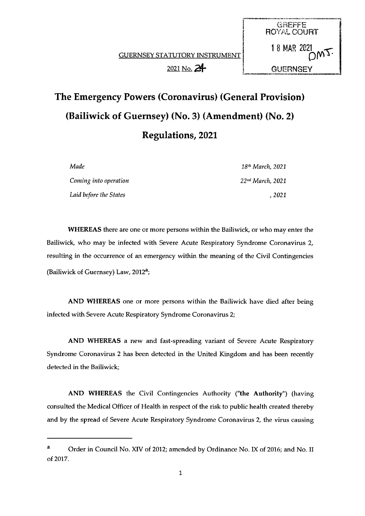**GUERNSEY STATUTORY INSTRUMENT**  $2021$  No.  $24$   $\phantom{1}$  GUERNSEY

ROYAL COURT

GREFFE

18 MAR 2821



| Made                   | 18 <sup>th</sup> March, 2021 |
|------------------------|------------------------------|
| Coming into operation  | 22 <sup>nd</sup> March, 2021 |
| Laid before the States | . 2021                       |

WHEREAS there are one or more persons within the Bailiwick, or who may enter the Bailiwick, who may be infected with Severe Acute Respiratory Syndrome Coronavirus 2, resulting in the occurrence of an emergency within the meaning of the Civil Contingencies (Bailiwick of Guernsey) Law, 2012<sup>a</sup>;

AND WHEREAS one or more persons within the Bailiwick have died after being infected with Severe Acute Respiratory Syndrome Coronavirus 2;

AND WHEREAS a new and fast-spreading variant of Severe Acute Respiratory Syndrome Coronavirus 2 has been detected in the United Kingdom and has been recently detected in the Bailiwick;

AND WHEREAS the Civil Contingencies Authority ('the Authority") (having consulted the Medical Officer of Health in respect of the risk to public health created thereby and by the spread of Severe Acute Respiratory Syndrome Coronavirus 2, the virus causing

<sup>&</sup>lt;sup>a</sup> Order in Council No. XIV of 2012; amended by Ordinance No. IX of 2016; and No. II of 2017.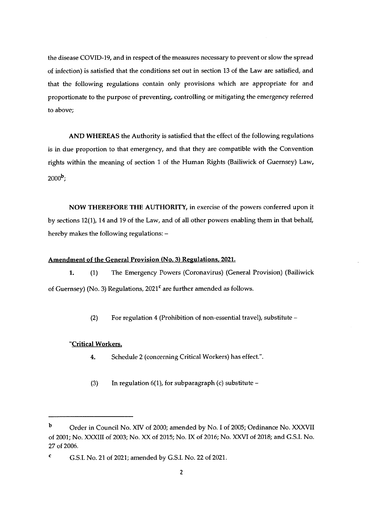the disease COVID-19, and in respect of the measures necessary to prevent or slow the spread of infection) is satisfied that the conditions set out in section 13 of the Law are satisfied, and that the following regulations contain only provisions which are appropriate for and proportionate to the purpose of preventing, controlling or mitigating the emergency referred to above;

AND WHEREAS the Authority is satisfied that the effect of the following regulations is in due proportion to that emergency, and that they are compatible with the Convention rights within the meaning of section <sup>1</sup> of the Human Rights (Bailiwick of Guernsey) Law,  $2000^{\rm b}$ ;

NOW THEREFORE THE AUTHORITY, in exercise of the powers conferred upon it by sections 12(1), 14 and 19 of the Law, and of all other powers enabling them in that behalf, hereby makes the following regulations: —

## Amendment of the General Provision (No. 3) Regulations. 2021.

1. (1) The Emergency Powers (Coronavirus) (General Provision) (Bailiwick of Guernsey) (No. 3) Regulations, 2021<sup>c</sup> are further amended as follows.

(2) For regulation 4 (Prohibition of non-essential travel), substitute —

### 'Critical Workers.

- 4. Schedule 2 (concerning Critical Workers) has effect.".
- (3) In regulation 6(1), for subparagraph (c) substitute  $-$

<sup>b</sup> Order in Council No. XIV of 2000; amended by No. <sup>I</sup> of 2005; Ordinance No. XXXVII of 2001; No. XXXIII of 2003; No. XX of 2015; No. IX of 2016; No. XXVI of 2018; and G.S.I. No. 2? of 2006.

 $\text{C}$  G.S.I. No. 21 of 2021; amended by G.S.I. No. 22 of 2021.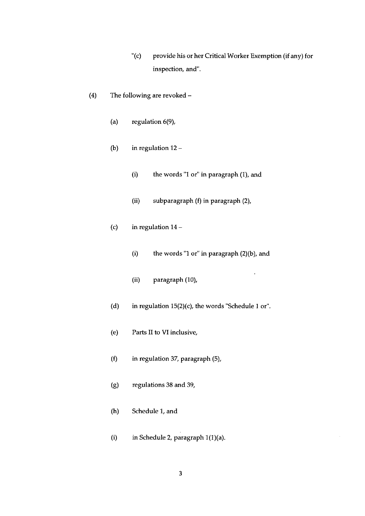- '(c) provide his or her Critical Worker Exemption (if any) for inspection, and'.
- (4) The following are revoked
	- (a) regulation 6(9),
	- (b) in regulation 12
		- (i) the words "1 or" in paragraph (1), and
		- (ii) subparagraph  $(f)$  in paragraph  $(2)$ ,
	- (c) in regulation 14
		- (i) the words "1 or" in paragraph (2)(b), and

i.

- (ii) paragraph (10),
- (d) in regulation 15(2)(c), the words 'Schedule I or".
- (e) Parts II to VI inclusive,
- (f) in regulation 37, paragraph (5),
- (g) regulations 38 and 39,
- (h) Schedule I, and
- (i) in Schedule 2, paragraph I(I)(a).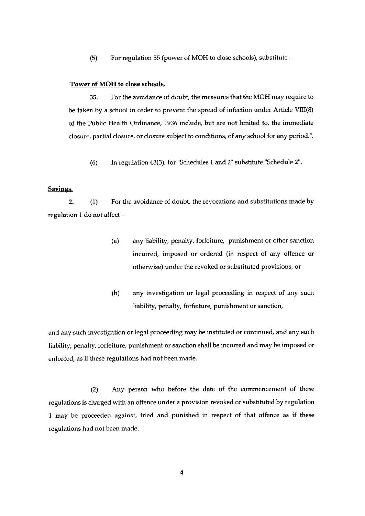(5) For regulation 35 (power of MOH to close schools), substitute —

### "Power of MOH to close schools.

35. For the avoidance of doubt, the measures that the MOH may require to be taken by a school in order to prevent the spread of infection under Article VIII(8) of the Public Health Ordinance, 1936 include, but are not limited to, the immediate closure, partial closure, or closure subject to conditions, of any school for any period.'.

(6) In regulation 43(3), for 'Schedules <sup>1</sup> and 2' substitute 'Schedule 2.

### Savings.

2. (1) For the avoidance of doubt, the revocations and substitutions made by regulation I do not affect —

- (a) any liability, penalty, forfeiture, punishment or other sanction incurred, imposed or ordered (in respect of any offence or otherwise) under the revoked or substituted provisions, or
- (b) any investigation or legal proceeding in respect of any such liability, penalty, forfeiture, punishment or sanction,

and any such investigation or legal proceeding may be instituted or continued, and any such liability, penalty, forfeiture, punishment or sanction shall be incurred and may be imposed or enforced, as if these regulations had not been made.

(2) Any person who before the date of the commencement of these regulations is charged with an offence under <sup>a</sup> provision revoked or substituted by regulation <sup>I</sup> may be proceeded against, tried and punished in respect of that offence as if these regulations had not been made.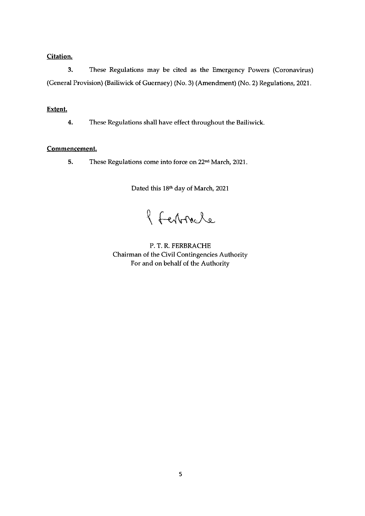# Citation.

3. These Regulations may be cited as the Emergency Powers (Coronavirus) (General Provision) (Bailiwick of Guernsey) (No. 3) (Amendment) (No. 2) Regulations, 2021.

# Extent.

4. These Regulations shall have effect throughout the Bailiwick.

## Commencement.

5. These Regulations come into force on 22nd March, 2021.

Dated this 18th day of March, 2021

l Ferbracle

P. T. R. FERBRACHE Chairman of the Civil Contingencies Authority For and on behalf of the Authority